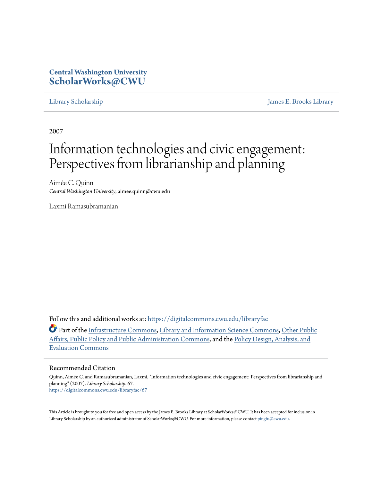## **Central Washington University [ScholarWorks@CWU](https://digitalcommons.cwu.edu?utm_source=digitalcommons.cwu.edu%2Flibraryfac%2F67&utm_medium=PDF&utm_campaign=PDFCoverPages)**

[Library Scholarship](https://digitalcommons.cwu.edu/libraryfac?utm_source=digitalcommons.cwu.edu%2Flibraryfac%2F67&utm_medium=PDF&utm_campaign=PDFCoverPages) [James E. Brooks Library](https://digitalcommons.cwu.edu/library?utm_source=digitalcommons.cwu.edu%2Flibraryfac%2F67&utm_medium=PDF&utm_campaign=PDFCoverPages)

2007

# Information technologies and civic engagement: Perspectives from librarianship and planning

Aimée C. Quinn *Central Washington University*, aimee.quinn@cwu.edu

Laxmi Ramasubramanian

Follow this and additional works at: [https://digitalcommons.cwu.edu/libraryfac](https://digitalcommons.cwu.edu/libraryfac?utm_source=digitalcommons.cwu.edu%2Flibraryfac%2F67&utm_medium=PDF&utm_campaign=PDFCoverPages)

Part of the [Infrastructure Commons,](http://network.bepress.com/hgg/discipline/1066?utm_source=digitalcommons.cwu.edu%2Flibraryfac%2F67&utm_medium=PDF&utm_campaign=PDFCoverPages) [Library and Information Science Commons,](http://network.bepress.com/hgg/discipline/1018?utm_source=digitalcommons.cwu.edu%2Flibraryfac%2F67&utm_medium=PDF&utm_campaign=PDFCoverPages) [Other Public](http://network.bepress.com/hgg/discipline/403?utm_source=digitalcommons.cwu.edu%2Flibraryfac%2F67&utm_medium=PDF&utm_campaign=PDFCoverPages) [Affairs, Public Policy and Public Administration Commons](http://network.bepress.com/hgg/discipline/403?utm_source=digitalcommons.cwu.edu%2Flibraryfac%2F67&utm_medium=PDF&utm_campaign=PDFCoverPages), and the [Policy Design, Analysis, and](http://network.bepress.com/hgg/discipline/1032?utm_source=digitalcommons.cwu.edu%2Flibraryfac%2F67&utm_medium=PDF&utm_campaign=PDFCoverPages) [Evaluation Commons](http://network.bepress.com/hgg/discipline/1032?utm_source=digitalcommons.cwu.edu%2Flibraryfac%2F67&utm_medium=PDF&utm_campaign=PDFCoverPages)

### Recommended Citation

Quinn, Aimée C. and Ramasubramanian, Laxmi, "Information technologies and civic engagement: Perspectives from librarianship and planning" (2007). *Library Scholarship*. 67. [https://digitalcommons.cwu.edu/libraryfac/67](https://digitalcommons.cwu.edu/libraryfac/67?utm_source=digitalcommons.cwu.edu%2Flibraryfac%2F67&utm_medium=PDF&utm_campaign=PDFCoverPages)

This Article is brought to you for free and open access by the James E. Brooks Library at ScholarWorks@CWU. It has been accepted for inclusion in Library Scholarship by an authorized administrator of ScholarWorks@CWU. For more information, please contact [pingfu@cwu.edu.](mailto:pingfu@cwu.edu)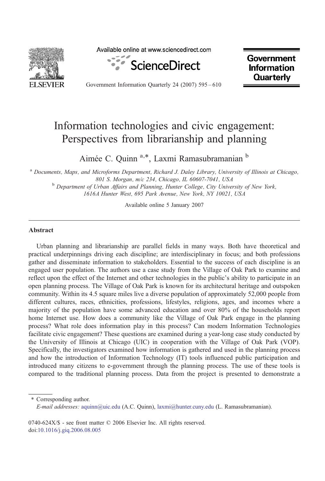

Available online at www.sciencedirect.com



**Government Information Quarterly** 

Government Information Quarterly 24 (2007) 595–610

# Information technologies and civic engagement: Perspectives from librarianship and planning

Aimée C. Quinn<sup>a,\*</sup>, Laxmi Ramasubramanian b

<sup>a</sup> Documents, Maps, and Microforms Department, Richard J. Daley Library, University of Illinois at Chicago, 801 S. Morgan, m/c 234, Chicago, IL 60607-7041, USA<br><sup>b</sup> Department of Urban Affairs and Planning, Hunter College, City University of New York,

1616A Hunter West, 695 Park Avenue, New York, NY 10021, USA

Available online 5 January 2007

#### Abstract

Urban planning and librarianship are parallel fields in many ways. Both have theoretical and practical underpinnings driving each discipline; are interdisciplinary in focus; and both professions gather and disseminate information to stakeholders. Essential to the success of each discipline is an engaged user population. The authors use a case study from the Village of Oak Park to examine and reflect upon the effect of the Internet and other technologies in the public's ability to participate in an open planning process. The Village of Oak Park is known for its architectural heritage and outspoken community. Within its 4.5 square miles live a diverse population of approximately 52,000 people from different cultures, races, ethnicities, professions, lifestyles, religions, ages, and incomes where a majority of the population have some advanced education and over 80% of the households report home Internet use. How does a community like the Village of Oak Park engage in the planning process? What role does information play in this process? Can modern Information Technologies facilitate civic engagement? These questions are examined during a year-long case study conducted by the University of Illinois at Chicago (UIC) in cooperation with the Village of Oak Park (VOP). Specifically, the investigators examined how information is gathered and used in the planning process and how the introduction of Information Technology (IT) tools influenced public participation and introduced many citizens to e-government through the planning process. The use of these tools is compared to the traditional planning process. Data from the project is presented to demonstrate a

⁎ Corresponding author. E-mail addresses: [aquinn@uic.edu](mailto:aquinn@uic.edu) (A.C. Quinn), [laxmi@hunter.cuny.edu](mailto:laxmi@hunter.cuny.edu) (L. Ramasubramanian).

0740-624X/\$ - see front matter © 2006 Elsevier Inc. All rights reserved. doi[:10.1016/j.giq.2006.08.005](http://dx.doi.org/10.1016/j.giq.2006.08.005)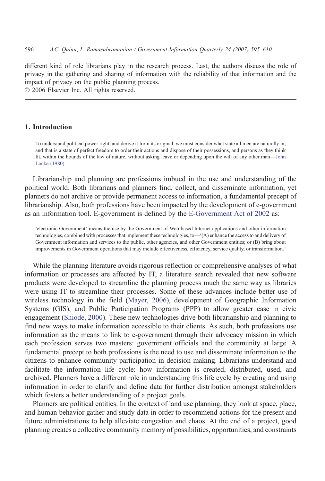different kind of role librarians play in the research process. Last, the authors discuss the role of privacy in the gathering and sharing of information with the reliability of that information and the impact of privacy on the public planning process.

© 2006 Elsevier Inc. All rights reserved.

#### 1. Introduction

To understand political power right, and derive it from its original, we must consider what state all men are naturally in, and that is a state of perfect freedom to order their actions and dispose of their possessions, and persons as they think fit, within the bounds of the law of nature, without asking leave or depending upon the will of any other man—[John](#page-15-0) [Locke \(1980\)](#page-15-0).

Librarianship and planning are professions imbued in the use and understanding of the political world. Both librarians and planners find, collect, and disseminate information, yet planners do not archive or provide permanent access to information, a fundamental precept of librarianship. Also, both professions have been impacted by the development of e-government as an information tool. E-government is defined by the [E-Government Act of 2002](#page-15-0) as:

'electronic Government' means the use by the Government of Web-based Internet applications and other information technologies, combined with processes that implement these technologies, to—'(A) enhance the access to and delivery of Government information and services to the public, other agencies, and other Government entities; or (B) bring about improvements in Government operations that may include effectiveness, efficiency, service quality, or transformation.'

While the planning literature avoids rigorous reflection or comprehensive analyses of what information or processes are affected by IT, a literature search revealed that new software products were developed to streamline the planning process much the same way as libraries were using IT to streamline their processes. Some of these advances include better use of wireless technology in the field [\(Mayer, 2006](#page-15-0)), development of Geographic Information Systems (GIS), and Public Participation Programs (PPP) to allow greater ease in civic engagement ([Shiode, 2000\)](#page-16-0). These new technologies drive both librarianship and planning to find new ways to make information accessible to their clients. As such, both professions use information as the means to link to e-government through their advocacy mission in which each profession serves two masters: government officials and the community at large. A fundamental precept to both professions is the need to use and disseminate information to the citizens to enhance community participation in decision making. Librarians understand and facilitate the information life cycle: how information is created, distributed, used, and archived. Planners have a different role in understanding this life cycle by creating and using information in order to clarify and define data for further distribution amongst stakeholders which fosters a better understanding of a project goals.

Planners are political entities. In the context of land use planning, they look at space, place, and human behavior gather and study data in order to recommend actions for the present and future administrations to help alleviate congestion and chaos. At the end of a project, good planning creates a collective community memory of possibilities, opportunities, and constraints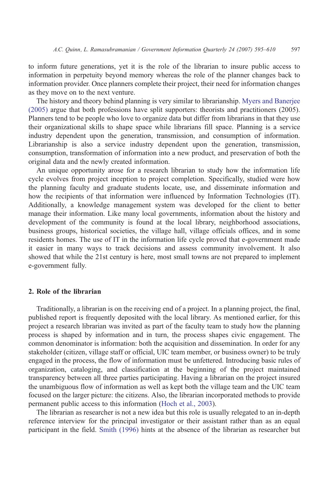to inform future generations, yet it is the role of the librarian to insure public access to information in perpetuity beyond memory whereas the role of the planner changes back to information provider. Once planners complete their project, their need for information changes as they move on to the next venture.

The history and theory behind planning is very similar to librarianship. [Myers and Banerjee](#page-16-0) [\(2005\)](#page-16-0) argue that both professions have split supporters: theorists and practitioners (2005). Planners tend to be people who love to organize data but differ from librarians in that they use their organizational skills to shape space while librarians fill space. Planning is a service industry dependent upon the generation, transmission, and consumption of information. Librarianship is also a service industry dependent upon the generation, transmission, consumption, transformation of information into a new product, and preservation of both the original data and the newly created information.

An unique opportunity arose for a research librarian to study how the information life cycle evolves from project inception to project completion. Specifically, studied were how the planning faculty and graduate students locate, use, and disseminate information and how the recipients of that information were influenced by Information Technologies (IT). Additionally, a knowledge management system was developed for the client to better manage their information. Like many local governments, information about the history and development of the community is found at the local library, neighborhood associations, business groups, historical societies, the village hall, village officials offices, and in some residents homes. The use of IT in the information life cycle proved that e-government made it easier in many ways to track decisions and assess community involvement. It also showed that while the 21st century is here, most small towns are not prepared to implement e-government fully.

#### 2. Role of the librarian

Traditionally, a librarian is on the receiving end of a project. In a planning project, the final, published report is frequently deposited with the local library. As mentioned earlier, for this project a research librarian was invited as part of the faculty team to study how the planning process is shaped by information and in turn, the process shapes civic engagement. The common denominator is information: both the acquisition and dissemination. In order for any stakeholder (citizen, village staff or official, UIC team member, or business owner) to be truly engaged in the process, the flow of information must be unfettered. Introducing basic rules of organization, cataloging, and classification at the beginning of the project maintained transparency between all three parties participating. Having a librarian on the project insured the unambiguous flow of information as well as kept both the village team and the UIC team focused on the larger picture: the citizens. Also, the librarian incorporated methods to provide permanent public access to this information [\(Hoch et al., 2003\)](#page-15-0).

The librarian as researcher is not a new idea but this role is usually relegated to an in-depth reference interview for the principal investigator or their assistant rather than as an equal participant in the field. [Smith \(1996\)](#page-16-0) hints at the absence of the librarian as researcher but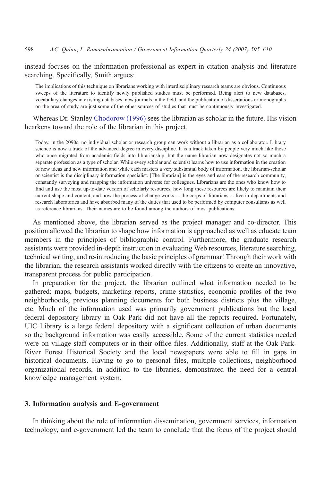instead focuses on the information professional as expert in citation analysis and literature searching. Specifically, Smith argues:

The implications of this technique on librarians working with interdisciplinary research teams are obvious. Continuous sweeps of the literature to identify newly published studies must be performed. Being alert to new databases, vocabulary changes in existing databases, new journals in the field, and the publication of dissertations or monographs on the area of study are just some of the other sources of studies that must be continuously investigated.

Whereas Dr. Stanley [Chodorow \(1996\)](#page-15-0) sees the librarian as scholar in the future. His vision hearkens toward the role of the librarian in this project.

Today, in the 2090s, no individual scholar or research group can work without a librarian as a collaborator. Library science is now a track of the advanced degree in every discipline. It is a track taken by people very much like those who once migrated from academic fields into librarianship, but the name librarian now designates not so much a separate profession as a type of scholar. While every scholar and scientist learns how to use information in the creation of new ideas and new information and while each masters a very substantial body of information, the librarian-scholar or scientist is the disciplinary information specialist. [The librarian] is the eyes and ears of the research community, constantly surveying and mapping the information universe for colleagues. Librarians are the ones who know how to find and use the most up-to-date version of scholarly resources, how long these resources are likely to maintain their current shape and content, and how the process of change works … the corps of librarians … live in departments and research laboratories and have absorbed many of the duties that used to be performed by computer consultants as well as reference librarians. Their names are to be found among the authors of most publications.

As mentioned above, the librarian served as the project manager and co-director. This position allowed the librarian to shape how information is approached as well as educate team members in the principles of bibliographic control. Furthermore, the graduate research assistants were provided in-depth instruction in evaluating Web resources, literature searching, technical writing, and re-introducing the basic principles of grammar! Through their work with the librarian, the research assistants worked directly with the citizens to create an innovative, transparent process for public participation.

In preparation for the project, the librarian outlined what information needed to be gathered: maps, budgets, marketing reports, crime statistics, economic profiles of the two neighborhoods, previous planning documents for both business districts plus the village, etc. Much of the information used was primarily government publications but the local federal depository library in Oak Park did not have all the reports required. Fortunately, UIC Library is a large federal depository with a significant collection of urban documents so the background information was easily accessible. Some of the current statistics needed were on village staff computers or in their office files. Additionally, staff at the Oak Park-River Forest Historical Society and the local newspapers were able to fill in gaps in historical documents. Having to go to personal files, multiple collections, neighborhood organizational records, in addition to the libraries, demonstrated the need for a central knowledge management system.

#### 3. Information analysis and E-government

In thinking about the role of information dissemination, government services, information technology, and e-government led the team to conclude that the focus of the project should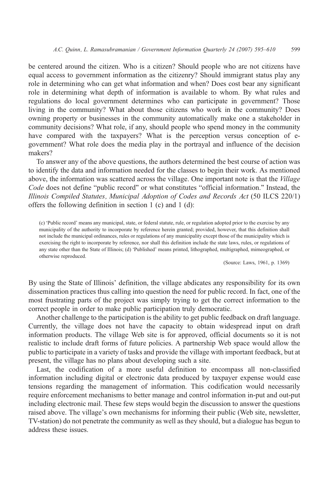be centered around the citizen. Who is a citizen? Should people who are not citizens have equal access to government information as the citizenry? Should immigrant status play any role in determining who can get what information and when? Does cost bear any significant role in determining what depth of information is available to whom. By what rules and regulations do local government determines who can participate in government? Those living in the community? What about those citizens who work in the community? Does owning property or businesses in the community automatically make one a stakeholder in community decisions? What role, if any, should people who spend money in the community have compared with the taxpayers? What is the perception versus conception of egovernment? What role does the media play in the portrayal and influence of the decision makers?

To answer any of the above questions, the authors determined the best course of action was to identify the data and information needed for the classes to begin their work. As mentioned above, the information was scattered across the village. One important note is that the Village Code does not define "public record" or what constitutes "official information." Instead, the Illinois Compiled Statutes, Municipal Adoption of Codes and Records Act (50 ILCS 220/1) offers the following definition in section 1 (c) and 1 (d):

(c) 'Public record' means any municipal, state, or federal statute, rule, or regulation adopted prior to the exercise by any municipality of the authority to incorporate by reference herein granted; provided, however, that this definition shall not include the municipal ordinances, rules or regulations of any municipality except those of the municipality which is exercising the right to incorporate by reference, nor shall this definition include the state laws, rules, or regulations of any state other than the State of Illinois; (d) 'Published' means printed, lithographed, multigraphed, mimeographed, or otherwise reproduced.

(Source: Laws, 1961, p. 1369)

By using the State of Illinois' definition, the village abdicates any responsibility for its own dissemination practices thus calling into question the need for public record. In fact, one of the most frustrating parts of the project was simply trying to get the correct information to the correct people in order to make public participation truly democratic.

Another challenge to the participation is the ability to get public feedback on draft language. Currently, the village does not have the capacity to obtain widespread input on draft information products. The village Web site is for approved, official documents so it is not realistic to include draft forms of future policies. A partnership Web space would allow the public to participate in a variety of tasks and provide the village with important feedback, but at present, the village has no plans about developing such a site.

Last, the codification of a more useful definition to encompass all non-classified information including digital or electronic data produced by taxpayer expense would ease tensions regarding the management of information. This codification would necessarily require enforcement mechanisms to better manage and control information in-put and out-put including electronic mail. These few steps would begin the discussion to answer the questions raised above. The village's own mechanisms for informing their public (Web site, newsletter, TV-station) do not penetrate the community as well as they should, but a dialogue has begun to address these issues.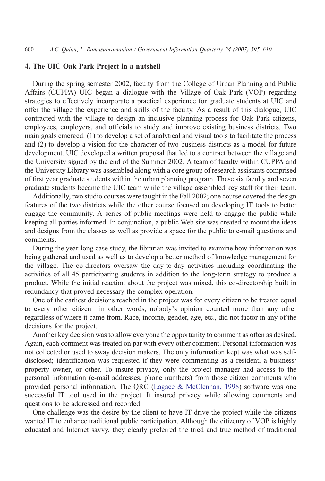#### 4. The UIC Oak Park Project in a nutshell

During the spring semester 2002, faculty from the College of Urban Planning and Public Affairs (CUPPA) UIC began a dialogue with the Village of Oak Park (VOP) regarding strategies to effectively incorporate a practical experience for graduate students at UIC and offer the village the experience and skills of the faculty. As a result of this dialogue, UIC contracted with the village to design an inclusive planning process for Oak Park citizens, employees, employers, and officials to study and improve existing business districts. Two main goals emerged: (1) to develop a set of analytical and visual tools to facilitate the process and (2) to develop a vision for the character of two business districts as a model for future development. UIC developed a written proposal that led to a contract between the village and the University signed by the end of the Summer 2002. A team of faculty within CUPPA and the University Library was assembled along with a core group of research assistants comprised of first year graduate students within the urban planning program. These six faculty and seven graduate students became the UIC team while the village assembled key staff for their team.

Additionally, two studio courses were taught in the Fall 2002; one course covered the design features of the two districts while the other course focused on developing IT tools to better engage the community. A series of public meetings were held to engage the public while keeping all parties informed. In conjunction, a public Web site was created to mount the ideas and designs from the classes as well as provide a space for the public to e-mail questions and comments.

During the year-long case study, the librarian was invited to examine how information was being gathered and used as well as to develop a better method of knowledge management for the village. The co-directors oversaw the day-to-day activities including coordinating the activities of all 45 participating students in addition to the long-term strategy to produce a product. While the initial reaction about the project was mixed, this co-directorship built in redundancy that proved necessary the complex operation.

One of the earliest decisions reached in the project was for every citizen to be treated equal to every other citizen—in other words, nobody's opinion counted more than any other regardless of where it came from. Race, income, gender, age, etc., did not factor in any of the decisions for the project.

Another key decision was to allow everyone the opportunity to comment as often as desired. Again, each comment was treated on par with every other comment. Personal information was not collected or used to sway decision makers. The only information kept was what was selfdisclosed; identification was requested if they were commenting as a resident, a business/ property owner, or other. To insure privacy, only the project manager had access to the personal information (e-mail addresses, phone numbers) from those citizen comments who provided personal information. The QRC [\(Lagace & McClennan, 1998\)](#page-15-0) software was one successful IT tool used in the project. It insured privacy while allowing comments and questions to be addressed and recorded.

One challenge was the desire by the client to have IT drive the project while the citizens wanted IT to enhance traditional public participation. Although the citizenry of VOP is highly educated and Internet savvy, they clearly preferred the tried and true method of traditional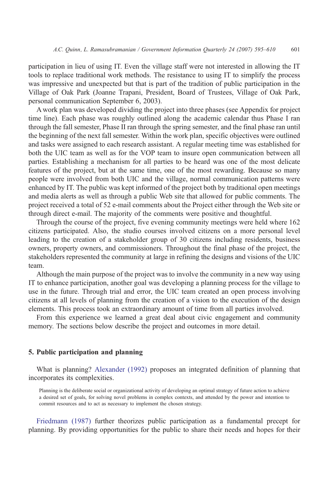participation in lieu of using IT. Even the village staff were not interested in allowing the IT tools to replace traditional work methods. The resistance to using IT to simplify the process was impressive and unexpected but that is part of the tradition of public participation in the Village of Oak Park (Joanne Trapani, President, Board of Trustees, Village of Oak Park, personal communication September 6, 2003).

A work plan was developed dividing the project into three phases (see Appendix for project time line). Each phase was roughly outlined along the academic calendar thus Phase I ran through the fall semester, Phase II ran through the spring semester, and the final phase ran until the beginning of the next fall semester. Within the work plan, specific objectives were outlined and tasks were assigned to each research assistant. A regular meeting time was established for both the UIC team as well as for the VOP team to insure open communication between all parties. Establishing a mechanism for all parties to be heard was one of the most delicate features of the project, but at the same time, one of the most rewarding. Because so many people were involved from both UIC and the village, normal communication patterns were enhanced by IT. The public was kept informed of the project both by traditional open meetings and media alerts as well as through a public Web site that allowed for public comments. The project received a total of 52 e-mail comments about the Project either through the Web site or through direct e-mail. The majority of the comments were positive and thoughtful.

Through the course of the project, five evening community meetings were held where 162 citizens participated. Also, the studio courses involved citizens on a more personal level leading to the creation of a stakeholder group of 30 citizens including residents, business owners, property owners, and commissioners. Throughout the final phase of the project, the stakeholders represented the community at large in refining the designs and visions of the UIC team.

Although the main purpose of the project was to involve the community in a new way using IT to enhance participation, another goal was developing a planning process for the village to use in the future. Through trial and error, the UIC team created an open process involving citizens at all levels of planning from the creation of a vision to the execution of the design elements. This process took an extraordinary amount of time from all parties involved.

From this experience we learned a great deal about civic engagement and community memory. The sections below describe the project and outcomes in more detail.

#### 5. Public participation and planning

What is planning? [Alexander \(1992\)](#page-15-0) proposes an integrated definition of planning that incorporates its complexities.

Planning is the deliberate social or organizational activity of developing an optimal strategy of future action to achieve a desired set of goals, for solving novel problems in complex contexts, and attended by the power and intention to commit resources and to act as necessary to implement the chosen strategy.

[Friedmann \(1987\)](#page-15-0) further theorizes public participation as a fundamental precept for planning. By providing opportunities for the public to share their needs and hopes for their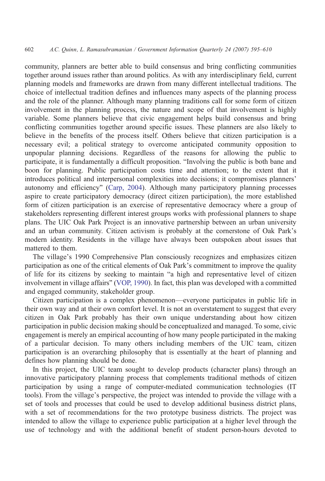community, planners are better able to build consensus and bring conflicting communities together around issues rather than around politics. As with any interdisciplinary field, current planning models and frameworks are drawn from many different intellectual traditions. The choice of intellectual tradition defines and influences many aspects of the planning process and the role of the planner. Although many planning traditions call for some form of citizen involvement in the planning process, the nature and scope of that involvement is highly variable. Some planners believe that civic engagement helps build consensus and bring conflicting communities together around specific issues. These planners are also likely to believe in the benefits of the process itself. Others believe that citizen participation is a necessary evil; a political strategy to overcome anticipated community opposition to unpopular planning decisions. Regardless of the reasons for allowing the public to participate, it is fundamentally a difficult proposition. "Involving the public is both bane and boon for planning. Public participation costs time and attention; to the extent that it introduces political and interpersonal complexities into decisions; it compromises planners' autonomy and efficiency" ([Carp, 2004\)](#page-15-0). Although many participatory planning processes aspire to create participatory democracy (direct citizen participation), the more established form of citizen participation is an exercise of representative democracy where a group of stakeholders representing different interest groups works with professional planners to shape plans. The UIC Oak Park Project is an innovative partnership between an urban university and an urban community. Citizen activism is probably at the cornerstone of Oak Park's modern identity. Residents in the village have always been outspoken about issues that mattered to them.

The village's 1990 Comprehensive Plan consciously recognizes and emphasizes citizen participation as one of the critical elements of Oak Park's commitment to improve the quality of life for its citizens by seeking to maintain "a high and representative level of citizen involvement in village affairs" ([VOP, 1990\)](#page-16-0). In fact, this plan was developed with a committed and engaged community, stakeholder group.

Citizen participation is a complex phenomenon—everyone participates in public life in their own way and at their own comfort level. It is not an overstatement to suggest that every citizen in Oak Park probably has their own unique understanding about how citizen participation in public decision making should be conceptualized and managed. To some, civic engagement is merely an empirical accounting of how many people participated in the making of a particular decision. To many others including members of the UIC team, citizen participation is an overarching philosophy that is essentially at the heart of planning and defines how planning should be done.

In this project, the UIC team sought to develop products (character plans) through an innovative participatory planning process that complements traditional methods of citizen participation by using a range of computer-mediated communication technologies (IT tools). From the village's perspective, the project was intended to provide the village with a set of tools and processes that could be used to develop additional business district plans, with a set of recommendations for the two prototype business districts. The project was intended to allow the village to experience public participation at a higher level through the use of technology and with the additional benefit of student person-hours devoted to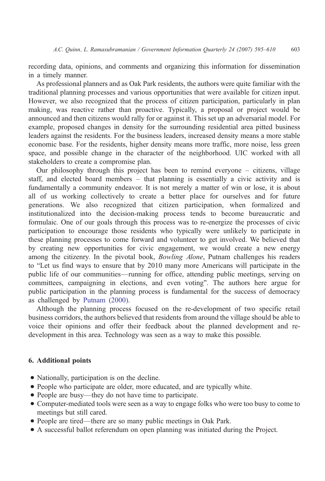recording data, opinions, and comments and organizing this information for dissemination in a timely manner.

As professional planners and as Oak Park residents, the authors were quite familiar with the traditional planning processes and various opportunities that were available for citizen input. However, we also recognized that the process of citizen participation, particularly in plan making, was reactive rather than proactive. Typically, a proposal or project would be announced and then citizens would rally for or against it. This set up an adversarial model. For example, proposed changes in density for the surrounding residential area pitted business leaders against the residents. For the business leaders, increased density means a more stable economic base. For the residents, higher density means more traffic, more noise, less green space, and possible change in the character of the neighborhood. UIC worked with all stakeholders to create a compromise plan.

Our philosophy through this project has been to remind everyone – citizens, village staff, and elected board members – that planning is essentially a civic activity and is fundamentally a community endeavor. It is not merely a matter of win or lose, it is about all of us working collectively to create a better place for ourselves and for future generations. We also recognized that citizen participation, when formalized and institutionalized into the decision-making process tends to become bureaucratic and formulaic. One of our goals through this process was to re-energize the processes of civic participation to encourage those residents who typically were unlikely to participate in these planning processes to come forward and volunteer to get involved. We believed that by creating new opportunities for civic engagement, we would create a new energy among the citizenry. In the pivotal book, *Bowling Alone*, Putnam challenges his readers to "Let us find ways to ensure that by 2010 many more Americans will participate in the public life of our communities—running for office, attending public meetings, serving on committees, campaigning in elections, and even voting". The authors here argue for public participation in the planning process is fundamental for the success of democracy as challenged by [Putnam \(2000\).](#page-16-0)

Although the planning process focused on the re-development of two specific retail business corridors, the authors believed that residents from around the village should be able to voice their opinions and offer their feedback about the planned development and redevelopment in this area. Technology was seen as a way to make this possible.

#### 6. Additional points

- Nationally, participation is on the decline.
- People who participate are older, more educated, and are typically white.
- People are busy—they do not have time to participate.
- Computer-mediated tools were seen as a way to engage folks who were too busy to come to meetings but still cared.
- People are tired—there are so many public meetings in Oak Park.
- A successful ballot referendum on open planning was initiated during the Project.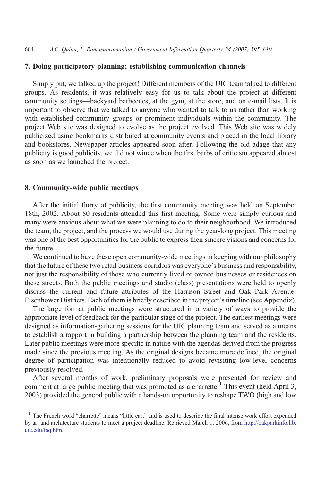#### 7. Doing participatory planning; establishing communication channels

Simply put, we talked up the project! Different members of the UIC team talked to different groups. As residents, it was relatively easy for us to talk about the project at different community settings—backyard barbecues, at the gym, at the store, and on e-mail lists. It is important to observe that we talked to anyone who wanted to talk to us rather than working with established community groups or prominent individuals within the community. The project Web site was designed to evolve as the project evolved. This Web site was widely publicized using bookmarks distributed at community events and placed in the local library and bookstores. Newspaper articles appeared soon after. Following the old adage that any publicity is good publicity, we did not wince when the first barbs of criticism appeared almost as soon as we launched the project.

#### 8. Community-wide public meetings

After the initial flurry of publicity, the first community meeting was held on September 18th, 2002. About 80 residents attended this first meeting. Some were simply curious and many were anxious about what we were planning to do to their neighborhood. We introduced the team, the project, and the process we would use during the year-long project. This meeting was one of the best opportunities for the public to express their sincere visions and concerns for the future.

We continued to have these open community-wide meetings in keeping with our philosophy that the future of these two retail business corridors was everyone's business and responsibility, not just the responsibility of those who currently lived or owned businesses or residences on these streets. Both the public meetings and studio (class) presentations were held to openly discuss the current and future attributes of the Harrison Street and Oak Park Avenue-Eisenhower Districts. Each of them is briefly described in the project's timeline (see Appendix).

The large format public meetings were structured in a variety of ways to provide the appropriate level of feedback for the particular stage of the project. The earliest meetings were designed as information-gathering sessions for the UIC planning team and served as a means to establish a rapport in building a partnership between the planning team and the residents. Later public meetings were more specific in nature with the agendas derived from the progress made since the previous meeting. As the original designs became more defined, the original degree of participation was intentionally reduced to avoid revisiting low-level concerns previously resolved.

After several months of work, preliminary proposals were presented for review and comment at large public meeting that was promoted as a charrette.<sup>1</sup> This event (held April 3, 2003) provided the general public with a hands-on opportunity to reshape TWO (high and low

<sup>&</sup>lt;sup>1</sup> The French word "charrette" means "little cart" and is used to describe the final intense work effort expended by art and architecture students to meet a project deadline. Retrieved March 1, 2006, from [http://oakparkinfo.lib.](http://oakparkinfo.lib.uic.edu/faq.htm) [uic.edu/faq.htm.](http://oakparkinfo.lib.uic.edu/faq.htm)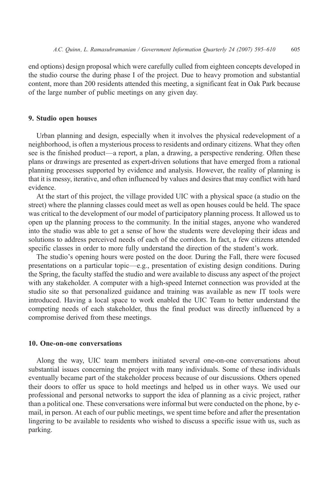end options) design proposal which were carefully culled from eighteen concepts developed in the studio course the during phase I of the project. Due to heavy promotion and substantial content, more than 200 residents attended this meeting, a significant feat in Oak Park because of the large number of public meetings on any given day.

#### 9. Studio open houses

Urban planning and design, especially when it involves the physical redevelopment of a neighborhood, is often a mysterious process to residents and ordinary citizens. What they often see is the finished product—a report, a plan, a drawing, a perspective rendering. Often these plans or drawings are presented as expert-driven solutions that have emerged from a rational planning processes supported by evidence and analysis. However, the reality of planning is that it is messy, iterative, and often influenced by values and desires that may conflict with hard evidence.

At the start of this project, the village provided UIC with a physical space (a studio on the street) where the planning classes could meet as well as open houses could be held. The space was critical to the development of our model of participatory planning process. It allowed us to open up the planning process to the community. In the initial stages, anyone who wandered into the studio was able to get a sense of how the students were developing their ideas and solutions to address perceived needs of each of the corridors. In fact, a few citizens attended specific classes in order to more fully understand the direction of the student's work.

The studio's opening hours were posted on the door. During the Fall, there were focused presentations on a particular topic—e.g., presentation of existing design conditions. During the Spring, the faculty staffed the studio and were available to discuss any aspect of the project with any stakeholder. A computer with a high-speed Internet connection was provided at the studio site so that personalized guidance and training was available as new IT tools were introduced. Having a local space to work enabled the UIC Team to better understand the competing needs of each stakeholder, thus the final product was directly influenced by a compromise derived from these meetings.

#### 10. One-on-one conversations

Along the way, UIC team members initiated several one-on-one conversations about substantial issues concerning the project with many individuals. Some of these individuals eventually became part of the stakeholder process because of our discussions. Others opened their doors to offer us space to hold meetings and helped us in other ways. We used our professional and personal networks to support the idea of planning as a civic project, rather than a political one. These conversations were informal but were conducted on the phone, by email, in person. At each of our public meetings, we spent time before and after the presentation lingering to be available to residents who wished to discuss a specific issue with us, such as parking.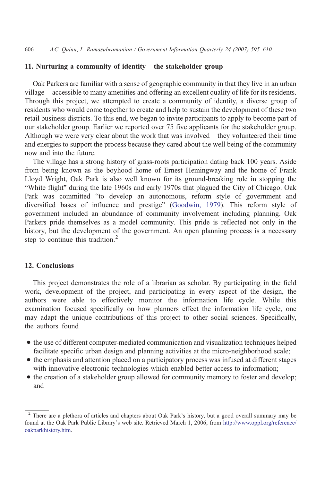#### 11. Nurturing a community of identity—the stakeholder group

Oak Parkers are familiar with a sense of geographic community in that they live in an urban village—accessible to many amenities and offering an excellent quality of life for its residents. Through this project, we attempted to create a community of identity, a diverse group of residents who would come together to create and help to sustain the development of these two retail business districts. To this end, we began to invite participants to apply to become part of our stakeholder group. Earlier we reported over 75 five applicants for the stakeholder group. Although we were very clear about the work that was involved—they volunteered their time and energies to support the process because they cared about the well being of the community now and into the future.

The village has a strong history of grass-roots participation dating back 100 years. Aside from being known as the boyhood home of Ernest Hemingway and the home of Frank Lloyd Wright, Oak Park is also well known for its ground-breaking role in stopping the "White flight" during the late 1960s and early 1970s that plagued the City of Chicago. Oak Park was committed "to develop an autonomous, reform style of government and diversified bases of influence and prestige" ([Goodwin, 1979](#page-15-0)). This reform style of government included an abundance of community involvement including planning. Oak Parkers pride themselves as a model community. This pride is reflected not only in the history, but the development of the government. An open planning process is a necessary step to continue this tradition. $<sup>2</sup>$ </sup>

#### 12. Conclusions

This project demonstrates the role of a librarian as scholar. By participating in the field work, development of the project, and participating in every aspect of the design, the authors were able to effectively monitor the information life cycle. While this examination focused specifically on how planners effect the information life cycle, one may adapt the unique contributions of this project to other social sciences. Specifically, the authors found

- the use of different computer-mediated communication and visualization techniques helped facilitate specific urban design and planning activities at the micro-neighborhood scale;
- the emphasis and attention placed on a participatory process was infused at different stages with innovative electronic technologies which enabled better access to information;
- the creation of a stakeholder group allowed for community memory to foster and develop; and

<sup>&</sup>lt;sup>2</sup> There are a plethora of articles and chapters about Oak Park's history, but a good overall summary may be found at the Oak Park Public Library's web site. Retrieved March 1, 2006, from [http://www.oppl.org/reference/](http://www.oppl.org/reference/oakparkhistory.htm) [oakparkhistory.htm.](http://www.oppl.org/reference/oakparkhistory.htm)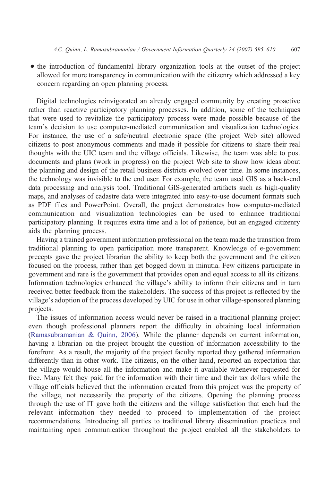• the introduction of fundamental library organization tools at the outset of the project allowed for more transparency in communication with the citizenry which addressed a key concern regarding an open planning process.

Digital technologies reinvigorated an already engaged community by creating proactive rather than reactive participatory planning processes. In addition, some of the techniques that were used to revitalize the participatory process were made possible because of the team's decision to use computer-mediated communication and visualization technologies. For instance, the use of a safe/neutral electronic space (the project Web site) allowed citizens to post anonymous comments and made it possible for citizens to share their real thoughts with the UIC team and the village officials. Likewise, the team was able to post documents and plans (work in progress) on the project Web site to show how ideas about the planning and design of the retail business districts evolved over time. In some instances, the technology was invisible to the end user. For example, the team used GIS as a back-end data processing and analysis tool. Traditional GIS-generated artifacts such as high-quality maps, and analyses of cadastre data were integrated into easy-to-use document formats such as PDF files and PowerPoint. Overall, the project demonstrates how computer-mediated communication and visualization technologies can be used to enhance traditional participatory planning. It requires extra time and a lot of patience, but an engaged citizenry aids the planning process.

Having a trained government information professional on the team made the transition from traditional planning to open participation more transparent. Knowledge of e-government precepts gave the project librarian the ability to keep both the government and the citizen focused on the process, rather than get bogged down in minutia. Few citizens participate in government and rare is the government that provides open and equal access to all its citizens. Information technologies enhanced the village's ability to inform their citizens and in turn received better feedback from the stakeholders. The success of this project is reflected by the village's adoption of the process developed by UIC for use in other village-sponsored planning projects.

The issues of information access would never be raised in a traditional planning project even though professional planners report the difficulty in obtaining local information [\(Ramasubramanian & Quinn, 2006\)](#page-16-0). While the planner depends on current information, having a librarian on the project brought the question of information accessibility to the forefront. As a result, the majority of the project faculty reported they gathered information differently than in other work. The citizens, on the other hand, reported an expectation that the village would house all the information and make it available whenever requested for free. Many felt they paid for the information with their time and their tax dollars while the village officials believed that the information created from this project was the property of the village, not necessarily the property of the citizens. Opening the planning process through the use of IT gave both the citizens and the village satisfaction that each had the relevant information they needed to proceed to implementation of the project recommendations. Introducing all parties to traditional library dissemination practices and maintaining open communication throughout the project enabled all the stakeholders to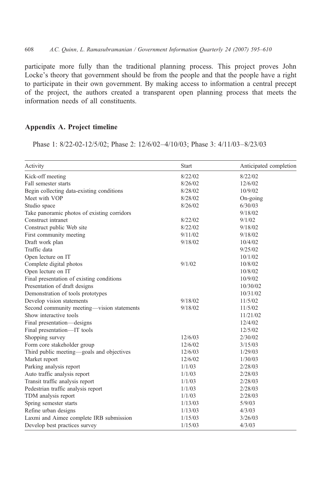participate more fully than the traditional planning process. This project proves John Locke's theory that government should be from the people and that the people have a right to participate in their own government. By making access to information a central precept of the project, the authors created a transparent open planning process that meets the information needs of all constituents.

### Appendix A. Project timeline

Phase 1: 8/22-02-12/5/02; Phase 2: 12/6/02–4/10/03; Phase 3: 4/11/03–8/23/03

| Activity                                    | <b>Start</b> | Anticipated completion |
|---------------------------------------------|--------------|------------------------|
| Kick-off meeting                            | 8/22/02      | 8/22/02                |
| Fall semester starts                        | 8/26/02      | 12/6/02                |
| Begin collecting data-existing conditions   | 8/28/02      | 10/9/02                |
| Meet with VOP                               | 8/28/02      | $On-going$             |
| Studio space                                | 8/26/02      | 6/30/03                |
| Take panoramic photos of existing corridors |              | 9/18/02                |
| Construct intranet                          | 8/22/02      | 9/1/02                 |
| Construct public Web site                   | 8/22/02      | 9/18/02                |
| First community meeting                     | 9/11/02      | 9/18/02                |
| Draft work plan                             | 9/18/02      | 10/4/02                |
| Traffic data                                |              | 9/25/02                |
| Open lecture on IT                          |              | 10/1/02                |
| Complete digital photos                     | 9/1/02       | 10/8/02                |
| Open lecture on IT                          |              | 10/8/02                |
| Final presentation of existing conditions   |              | 10/9/02                |
| Presentation of draft designs               |              | 10/30/02               |
| Demonstration of tools prototypes           |              | 10/31/02               |
| Develop vision statements                   | 9/18/02      | 11/5/02                |
| Second community meeting-vision statements  | 9/18/02      | 11/5/02                |
| Show interactive tools                      |              | 11/21/02               |
| Final presentation-designs                  |              | 12/4/02                |
| Final presentation-IT tools                 |              | 12/5/02                |
| Shopping survey                             | 12/6/03      | 2/30/02                |
| Form core stakeholder group                 | 12/6/02      | 3/15/03                |
| Third public meeting—goals and objectives   | 12/6/03      | 1/29/03                |
| Market report                               | 12/6/02      | 1/30/03                |
| Parking analysis report                     | 1/1/03       | 2/28/03                |
| Auto traffic analysis report                | 1/1/03       | 2/28/03                |
| Transit traffic analysis report             | 1/1/03       | 2/28/03                |
| Pedestrian traffic analysis report          | 1/1/03       | 2/28/03                |
| TDM analysis report                         | 1/1/03       | 2/28/03                |
| Spring semester starts                      | 1/13/03      | 5/9/03                 |
| Refine urban designs                        | 1/13/03      | 4/3/03                 |
| Laxmi and Aimee complete IRB submission     | 1/15/03      | 3/26/03                |
| Develop best practices survey               | 1/15/03      | 4/3/03                 |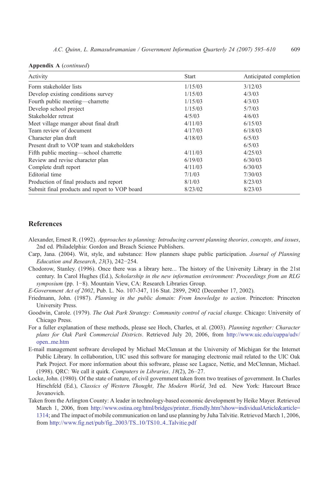<span id="page-15-0"></span>

|  |  | Appendix A (continued) |
|--|--|------------------------|
|--|--|------------------------|

| Activity                                      | <b>Start</b> | Anticipated completion |
|-----------------------------------------------|--------------|------------------------|
| Form stakeholder lists                        | 1/15/03      | 3/12/03                |
| Develop existing conditions survey            | 1/15/03      | 4/3/03                 |
| Fourth public meeting—charrette               | 1/15/03      | 4/3/03                 |
| Develop school project                        | 1/15/03      | 5/7/03                 |
| Stakeholder retreat                           | 4/5/03       | 4/6/03                 |
| Meet village manger about final draft         | 4/11/03      | 6/15/03                |
| Team review of document                       | 4/17/03      | 6/18/03                |
| Character plan draft                          | 4/18/03      | 6/5/03                 |
| Present draft to VOP team and stakeholders    |              | 6/5/03                 |
| Fifth public meeting—school charrette         | 4/11/03      | 4/25/03                |
| Review and revise character plan              | 6/19/03      | 6/30/03                |
| Complete draft report                         | 4/11/03      | 6/30/03                |
| Editorial time                                | 7/1/03       | 7/30/03                |
| Production of final products and report       | 8/1/03       | 8/23/03                |
| Submit final products and report to VOP board | 8/23/02      | 8/23/03                |

#### References

- Alexander, Ernest R. (1992). Approaches to planning: Introducing current planning theories, concepts, and issues, 2nd ed. Philadelphia: Gordon and Breach Science Publishers.
- Carp, Jana. (2004). Wit, style, and substance: How planners shape public participation. Journal of Planning Education and Research, 23(3), 242−254.
- Chodorow, Stanley. (1996). Once there was a library here… The history of the University Library in the 21st century. In Carol Hughes (Ed.), Scholarship in the new information environment: Proceedings from an RLG symposium (pp. 1–8). Mountain View, CA: Research Libraries Group.
- E-Government Act of 2002, Pub. L. No. 107-347, 116 Stat. 2899, 2902 (December 17, 2002).
- Friedmann, John. (1987). Planning in the public domain: From knowledge to action. Princeton: Princeton University Press.
- Goodwin, Carole. (1979). The Oak Park Strategy: Community control of racial change. Chicago: University of Chicago Press.
- For a fuller explanation of these methods, please see Hoch, Charles, et al. (2003). Planning together: Character plans for Oak Park Commercial Districts. Retrieved July 20, 2006, from [http://www.uic.edu/cuppa/udv/](http://www.uic.edu/cuppa/udv/open_me.htm) [open\\_me.htm](http://www.uic.edu/cuppa/udv/open_me.htm)
- E-mail management software developed by Michael McClennan at the University of Michigan for the Internet Public Library. In collaboration, UIC used this software for managing electronic mail related to the UIC Oak Park Project. For more information about this software, please see Lagace, Nettie, and McClennan, Michael. (1998). QRC: We call it quirk. Computers in Libraries, 18(2), 26–27.
- Locke, John. (1980). Of the state of nature, of civil government taken from two treatises of government. In Charles Hirschfeld (Ed.), Classics of Western Thought, The Modern World, 3rd ed. New York: Harcourt Brace Jovanovich.
- Taken from the Arlington County: A leader in technology-based economic development by Heike Mayer. Retrieved March 1, 2006, from http://www.ostina.org/html/bridges/printer\_friendly.htm?show=individualArticle&article= 1314; and The impact of mobile communication on land use planning by Juha Talvitie. Retrieved March 1, 2006, from [http://www.fig.net/pub/fig\\_2003/TS\\_10/TS10\\_4\\_Talvitie.pdf](http://www.fig.net/pub/fig_2003/TS_10/TS10_4_Talvitie.pdf)